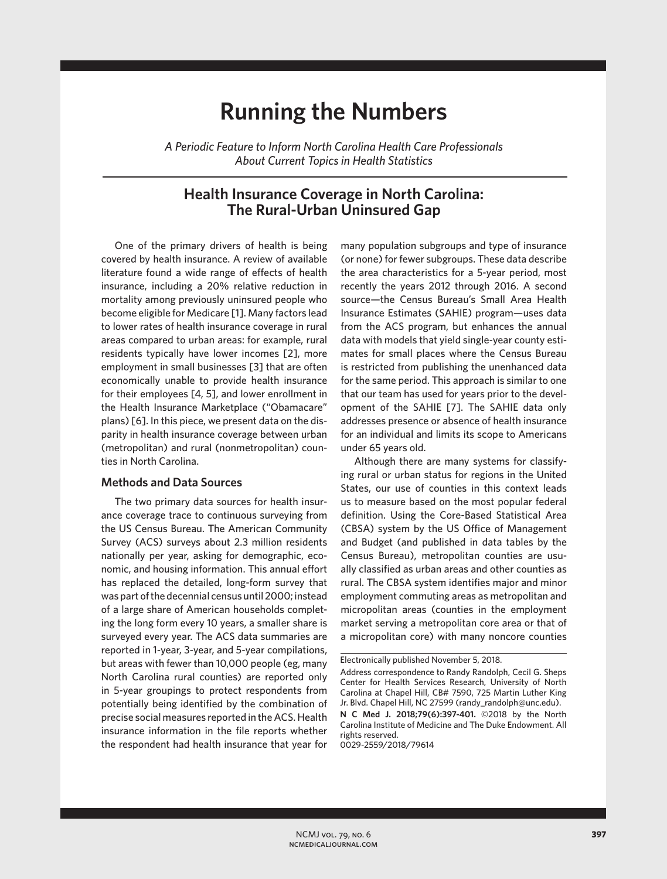# **Running the Numbers**

*A Periodic Feature to Inform North Carolina Health Care Professionals About Current Topics in Health Statistics*

## **Health Insurance Coverage in North Carolina: The Rural-Urban Uninsured Gap**

One of the primary drivers of health is being covered by health insurance. A review of available literature found a wide range of effects of health insurance, including a 20% relative reduction in mortality among previously uninsured people who become eligible for Medicare [1]. Many factors lead to lower rates of health insurance coverage in rural areas compared to urban areas: for example, rural residents typically have lower incomes [2], more employment in small businesses [3] that are often economically unable to provide health insurance for their employees [4, 5], and lower enrollment in the Health Insurance Marketplace ("Obamacare" plans) [6]. In this piece, we present data on the disparity in health insurance coverage between urban (metropolitan) and rural (nonmetropolitan) counties in North Carolina.

### **Methods and Data Sources**

The two primary data sources for health insurance coverage trace to continuous surveying from the US Census Bureau. The American Community Survey (ACS) surveys about 2.3 million residents nationally per year, asking for demographic, economic, and housing information. This annual effort has replaced the detailed, long-form survey that was part of the decennial census until 2000; instead of a large share of American households completing the long form every 10 years, a smaller share is surveyed every year. The ACS data summaries are reported in 1-year, 3-year, and 5-year compilations, but areas with fewer than 10,000 people (eg, many North Carolina rural counties) are reported only in 5-year groupings to protect respondents from potentially being identified by the combination of precise social measures reported in the ACS. Health insurance information in the file reports whether the respondent had health insurance that year for many population subgroups and type of insurance (or none) for fewer subgroups. These data describe the area characteristics for a 5-year period, most recently the years 2012 through 2016. A second source—the Census Bureau's Small Area Health Insurance Estimates (SAHIE) program—uses data from the ACS program, but enhances the annual data with models that yield single-year county estimates for small places where the Census Bureau is restricted from publishing the unenhanced data for the same period. This approach is similar to one that our team has used for years prior to the development of the SAHIE [7]. The SAHIE data only addresses presence or absence of health insurance for an individual and limits its scope to Americans under 65 years old.

Although there are many systems for classifying rural or urban status for regions in the United States, our use of counties in this context leads us to measure based on the most popular federal definition. Using the Core-Based Statistical Area (CBSA) system by the US Office of Management and Budget (and published in data tables by the Census Bureau), metropolitan counties are usually classified as urban areas and other counties as rural. The CBSA system identifies major and minor employment commuting areas as metropolitan and micropolitan areas (counties in the employment market serving a metropolitan core area or that of a micropolitan core) with many noncore counties

0029-2559/2018/79614

Electronically published November 5, 2018. Address correspondence to Randy Randolph, Cecil G. Sheps Center for Health Services Research, University of North Carolina at Chapel Hill, CB# 7590, 725 Martin Luther King Jr. Blvd. Chapel Hill, NC 27599 (randy\_randolph@unc.edu). **N C Med J. 2018;79(6):397-401.** ©2018 by the North Carolina Institute of Medicine and The Duke Endowment. All rights reserved.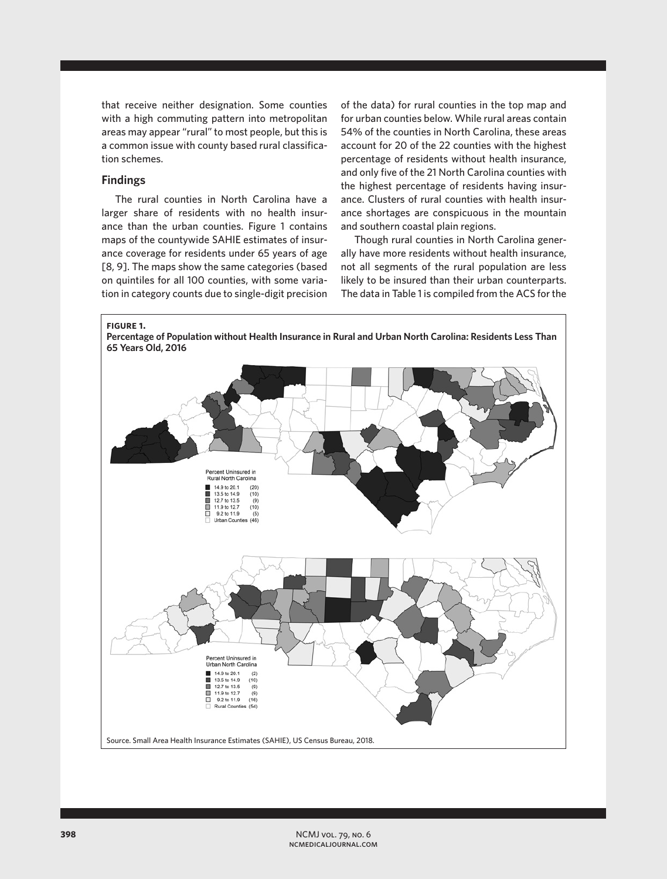that receive neither designation. Some counties with a high commuting pattern into metropolitan areas may appear "rural" to most people, but this is a common issue with county based rural classification schemes.

## **Findings**

The rural counties in North Carolina have a larger share of residents with no health insurance than the urban counties. Figure 1 contains maps of the countywide SAHIE estimates of insurance coverage for residents under 65 years of age [8, 9]. The maps show the same categories (based on quintiles for all 100 counties, with some variation in category counts due to single-digit precision of the data) for rural counties in the top map and for urban counties below. While rural areas contain 54% of the counties in North Carolina, these areas account for 20 of the 22 counties with the highest percentage of residents without health insurance, and only five of the 21 North Carolina counties with the highest percentage of residents having insurance. Clusters of rural counties with health insurance shortages are conspicuous in the mountain and southern coastal plain regions.

Though rural counties in North Carolina generally have more residents without health insurance, not all segments of the rural population are less likely to be insured than their urban counterparts. The data in Table 1 is compiled from the ACS for the

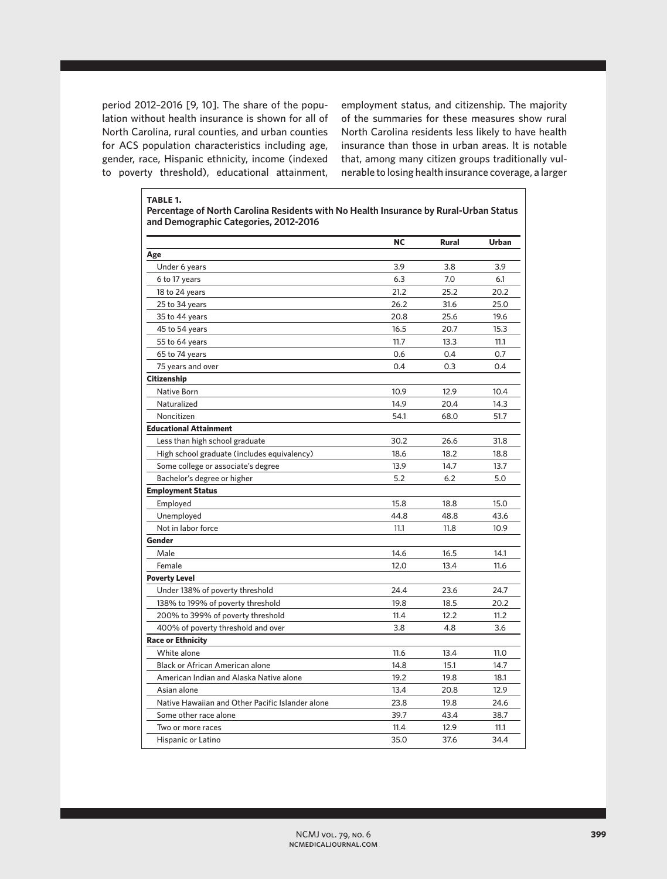period 2012–2016 [9, 10]. The share of the population without health insurance is shown for all of North Carolina, rural counties, and urban counties for ACS population characteristics including age, gender, race, Hispanic ethnicity, income (indexed to poverty threshold), educational attainment,

employment status, and citizenship. The majority of the summaries for these measures show rural North Carolina residents less likely to have health insurance than those in urban areas. It is notable that, among many citizen groups traditionally vulnerable to losing health insurance coverage, a larger

**table 1. Percentage of North Carolina Residents with No Health Insurance by Rural-Urban Status and Demographic Categories, 2012-2016**

|                                                  | <b>NC</b> | Rural | <b>Urban</b> |
|--------------------------------------------------|-----------|-------|--------------|
| Age                                              |           |       |              |
| Under 6 years                                    | 3.9       | 3.8   | 3.9          |
| 6 to 17 years                                    | 6.3       | 7.0   | 6.1          |
| 18 to 24 years                                   | 21.2      | 25.2  | 20.2         |
| 25 to 34 years                                   | 26.2      | 31.6  | 25.0         |
| 35 to 44 years                                   | 20.8      | 25.6  | 19.6         |
| 45 to 54 years                                   | 16.5      | 20.7  | 15.3         |
| 55 to 64 years                                   | 11.7      | 13.3  | 11.1         |
| 65 to 74 years                                   | 0.6       | 0.4   | 0.7          |
| 75 years and over                                | 0.4       | 0.3   | 0.4          |
| <b>Citizenship</b>                               |           |       |              |
| Native Born                                      | 10.9      | 12.9  | 10.4         |
| Naturalized                                      | 14.9      | 20.4  | 14.3         |
| Noncitizen                                       | 54.1      | 68.0  | 51.7         |
| <b>Educational Attainment</b>                    |           |       |              |
| Less than high school graduate                   | 30.2      | 26.6  | 31.8         |
| High school graduate (includes equivalency)      | 18.6      | 18.2  | 18.8         |
| Some college or associate's degree               | 13.9      | 14.7  | 13.7         |
| Bachelor's degree or higher                      | 5.2       | 6.2   | 5.0          |
| <b>Employment Status</b>                         |           |       |              |
| Employed                                         | 15.8      | 18.8  | 15.0         |
| Unemployed                                       | 44.8      | 48.8  | 43.6         |
| Not in labor force                               | 11.1      | 11.8  | 10.9         |
| Gender                                           |           |       |              |
| Male                                             | 14.6      | 16.5  | 14.1         |
| Female                                           | 12.0      | 13.4  | 11.6         |
| <b>Poverty Level</b>                             |           |       |              |
| Under 138% of poverty threshold                  | 24.4      | 23.6  | 24.7         |
| 138% to 199% of poverty threshold                | 19.8      | 18.5  | 20.2         |
| 200% to 399% of poverty threshold                | 11.4      | 12.2  | 11.2         |
| 400% of poverty threshold and over               | 3.8       | 4.8   | 3.6          |
| <b>Race or Ethnicity</b>                         |           |       |              |
| White alone                                      | 11.6      | 13.4  | 11.0         |
| <b>Black or African American alone</b>           | 14.8      | 15.1  | 14.7         |
| American Indian and Alaska Native alone          | 19.2      | 19.8  | 18.1         |
| Asian alone                                      | 13.4      | 20.8  | 12.9         |
| Native Hawaiian and Other Pacific Islander alone | 23.8      | 19.8  | 24.6         |
| Some other race alone                            | 39.7      | 43.4  | 38.7         |
| Two or more races                                | 11.4      | 12.9  | 11.1         |
| Hispanic or Latino                               | 35.0      | 37.6  | 34.4         |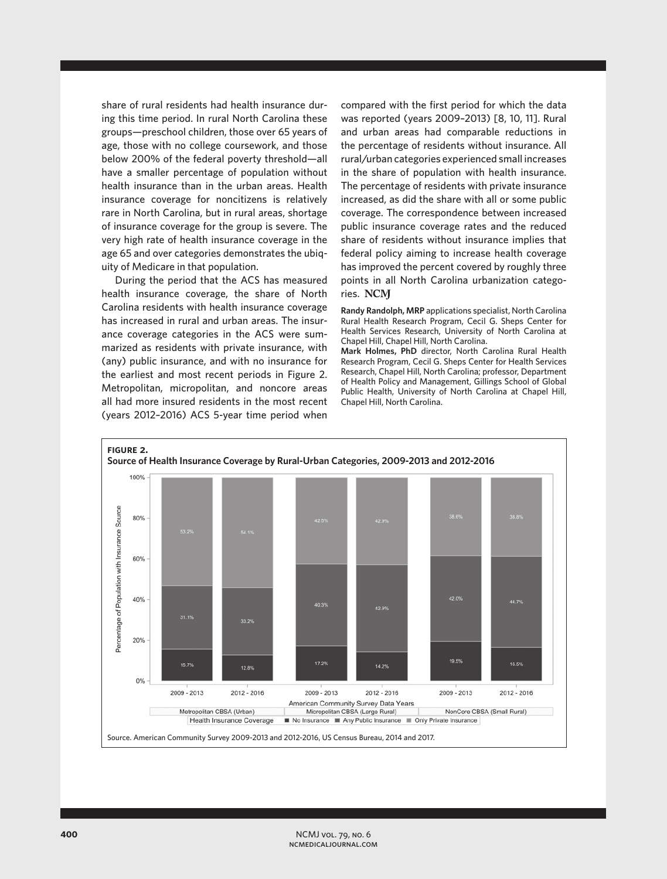share of rural residents had health insurance during this time period. In rural North Carolina these groups—preschool children, those over 65 years of age, those with no college coursework, and those below 200% of the federal poverty threshold—all have a smaller percentage of population without health insurance than in the urban areas. Health insurance coverage for noncitizens is relatively rare in North Carolina, but in rural areas, shortage of insurance coverage for the group is severe. The very high rate of health insurance coverage in the age 65 and over categories demonstrates the ubiquity of Medicare in that population.

During the period that the ACS has measured health insurance coverage, the share of North Carolina residents with health insurance coverage has increased in rural and urban areas. The insurance coverage categories in the ACS were summarized as residents with private insurance, with (any) public insurance, and with no insurance for the earliest and most recent periods in Figure 2. Metropolitan, micropolitan, and noncore areas all had more insured residents in the most recent (years 2012–2016) ACS 5-year time period when

compared with the first period for which the data was reported (years 2009–2013) [8, 10, 11]. Rural and urban areas had comparable reductions in the percentage of residents without insurance. All rural/urban categories experienced small increases in the share of population with health insurance. The percentage of residents with private insurance increased, as did the share with all or some public coverage. The correspondence between increased public insurance coverage rates and the reduced share of residents without insurance implies that federal policy aiming to increase health coverage has improved the percent covered by roughly three points in all North Carolina urbanization categories. NCM

**Randy Randolph, MRP** applications specialist, North Carolina Rural Health Research Program, Cecil G. Sheps Center for Health Services Research, University of North Carolina at Chapel Hill, Chapel Hill, North Carolina.

**Mark Holmes, PhD** director, North Carolina Rural Health Research Program, Cecil G. Sheps Center for Health Services Research, Chapel Hill, North Carolina; professor, Department of Health Policy and Management, Gillings School of Global Public Health, University of North Carolina at Chapel Hill, Chapel Hill, North Carolina.